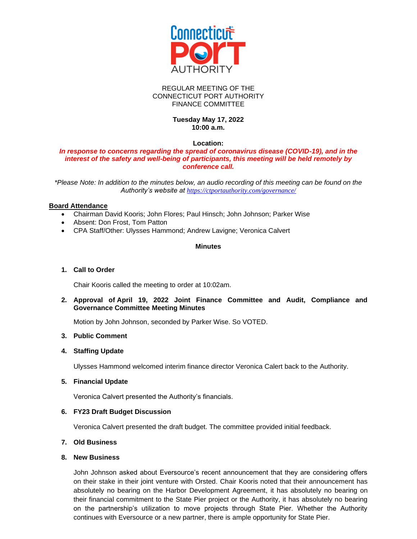

#### REGULAR MEETING OF THE CONNECTICUT PORT AUTHORITY FINANCE COMMITTEE

## **Tuesday May 17, 2022 10:00 a.m.**

#### **Location:**

#### *In response to concerns regarding the spread of coronavirus disease (COVID-19), and in the interest of the safety and well-being of participants, this meeting will be held remotely by conference call.*

*\*Please Note: In addition to the minutes below, an audio recording of this meeting can be found on the Authority's website at <https://ctportauthority.com/governance/>*

## **Board Attendance**

- Chairman David Kooris; John Flores; Paul Hinsch; John Johnson; Parker Wise
- Absent: Don Frost, Tom Patton
- CPA Staff/Other: Ulysses Hammond; Andrew Lavigne; Veronica Calvert

## **Minutes**

## **1. Call to Order**

Chair Kooris called the meeting to order at 10:02am.

**2. Approval of April 19, 2022 Joint Finance Committee and Audit, Compliance and Governance Committee Meeting Minutes**

Motion by John Johnson, seconded by Parker Wise. So VOTED.

#### **3. Public Comment**

# **4. Staffing Update**

Ulysses Hammond welcomed interim finance director Veronica Calert back to the Authority.

**5. Financial Update**

Veronica Calvert presented the Authority's financials.

#### **6. FY23 Draft Budget Discussion**

Veronica Calvert presented the draft budget. The committee provided initial feedback.

#### **7. Old Business**

#### **8. New Business**

John Johnson asked about Eversource's recent announcement that they are considering offers on their stake in their joint venture with Orsted. Chair Kooris noted that their announcement has absolutely no bearing on the Harbor Development Agreement, it has absolutely no bearing on their financial commitment to the State Pier project or the Authority, it has absolutely no bearing on the partnership's utilization to move projects through State Pier. Whether the Authority continues with Eversource or a new partner, there is ample opportunity for State Pier.